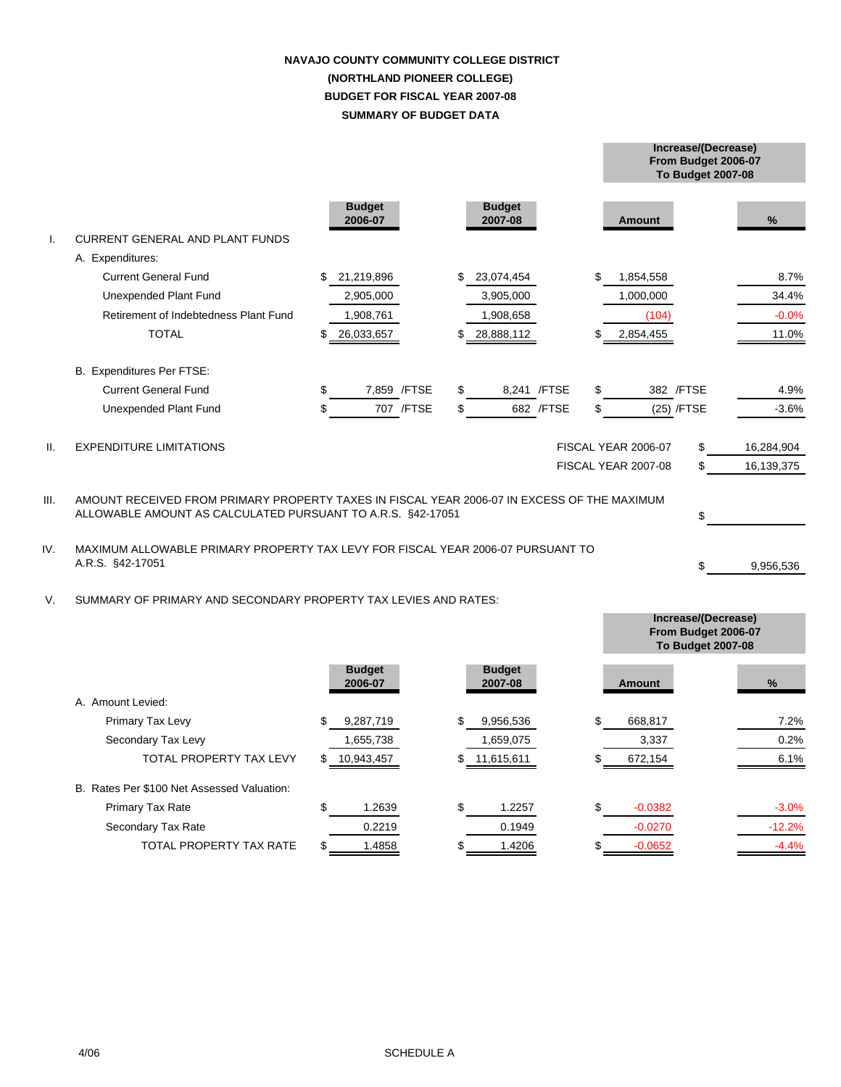# **SUMMARY OF BUDGET DATA NAVAJO COUNTY COMMUNITY COLLEGE DISTRICT (NORTHLAND PIONEER COLLEGE) BUDGET FOR FISCAL YEAR 2007-08**

**From Budget 2006-07**

**Increase/(Decrease)**

**Increase/(Decrease)**

|                 |                                                                                                                                                            |    |                          |              |     |                          |              |    |                     | <b>To Budget 2007-08</b> |            |  |
|-----------------|------------------------------------------------------------------------------------------------------------------------------------------------------------|----|--------------------------|--------------|-----|--------------------------|--------------|----|---------------------|--------------------------|------------|--|
|                 |                                                                                                                                                            |    | <b>Budget</b><br>2006-07 |              |     | <b>Budget</b><br>2007-08 |              |    | <b>Amount</b>       |                          | %          |  |
| I.              | <b>CURRENT GENERAL AND PLANT FUNDS</b>                                                                                                                     |    |                          |              |     |                          |              |    |                     |                          |            |  |
|                 | A. Expenditures:                                                                                                                                           |    |                          |              |     |                          |              |    |                     |                          |            |  |
|                 | <b>Current General Fund</b>                                                                                                                                | \$ | 21,219,896               |              | \$. | 23,074,454               |              | \$ | 1,854,558           |                          | 8.7%       |  |
|                 | Unexpended Plant Fund                                                                                                                                      |    | 2,905,000                |              |     | 3,905,000                |              |    | 1,000,000           |                          | 34.4%      |  |
|                 | Retirement of Indebtedness Plant Fund                                                                                                                      |    | 1,908,761                |              |     | 1,908,658                |              |    | (104)               |                          | $-0.0%$    |  |
|                 | <b>TOTAL</b>                                                                                                                                               | \$ | 26,033,657               |              |     | 28,888,112               |              |    | 2,854,455           |                          | 11.0%      |  |
|                 | B. Expenditures Per FTSE:                                                                                                                                  |    |                          |              |     |                          |              |    |                     |                          |            |  |
|                 | <b>Current General Fund</b>                                                                                                                                | \$ |                          | 7,859 / FTSE | \$  |                          | 8,241 / FTSE | \$ |                     | 382 / FTSE               | 4.9%       |  |
|                 | <b>Unexpended Plant Fund</b>                                                                                                                               | \$ |                          | 707 / FTSE   | \$  |                          | 682 / FTSE   | \$ |                     | (25) /FTSE               | $-3.6%$    |  |
| $\mathbf{II}$ . | <b>EXPENDITURE LIMITATIONS</b>                                                                                                                             |    |                          |              |     |                          |              |    | FISCAL YEAR 2006-07 | \$                       | 16,284,904 |  |
|                 |                                                                                                                                                            |    |                          |              |     |                          |              |    | FISCAL YEAR 2007-08 | \$                       | 16,139,375 |  |
| III.            | AMOUNT RECEIVED FROM PRIMARY PROPERTY TAXES IN FISCAL YEAR 2006-07 IN EXCESS OF THE MAXIMUM<br>ALLOWABLE AMOUNT AS CALCULATED PURSUANT TO A.R.S. §42-17051 |    |                          |              |     |                          |              |    |                     | \$                       |            |  |
| IV.             | MAXIMUM ALLOWABLE PRIMARY PROPERTY TAX LEVY FOR FISCAL YEAR 2006-07 PURSUANT TO<br>A.R.S. §42-17051                                                        |    |                          |              |     |                          |              |    | \$                  | 9,956,536                |            |  |
| V.              | SUMMARY OF PRIMARY AND SECONDARY PROPERTY TAX LEVIES AND RATES:                                                                                            |    |                          |              |     |                          |              |    |                     |                          |            |  |

|                                            |                          |                          | From Budget 2006-07<br><b>To Budget 2007-08</b> |          |
|--------------------------------------------|--------------------------|--------------------------|-------------------------------------------------|----------|
|                                            | <b>Budget</b><br>2006-07 | <b>Budget</b><br>2007-08 | <b>Amount</b>                                   | %        |
| A. Amount Levied:                          |                          |                          |                                                 |          |
| Primary Tax Levy                           | \$<br>9,287,719          | \$<br>9,956,536          | \$<br>668,817                                   | 7.2%     |
| Secondary Tax Levy                         | 1,655,738                | 1,659,075                | 3,337                                           | 0.2%     |
| <b>TOTAL PROPERTY TAX LEVY</b>             | \$<br>10,943,457         | \$11,615,611             | 672,154                                         | 6.1%     |
| B. Rates Per \$100 Net Assessed Valuation: |                          |                          |                                                 |          |
| <b>Primary Tax Rate</b>                    | \$<br>1.2639             | \$<br>1.2257             | \$<br>$-0.0382$                                 | $-3.0%$  |
| Secondary Tax Rate                         | 0.2219                   | 0.1949                   | $-0.0270$                                       | $-12.2%$ |
| TOTAL PROPERTY TAX RATE                    | 1.4858                   | 1.4206<br>\$             | $-0.0652$                                       | $-4.4%$  |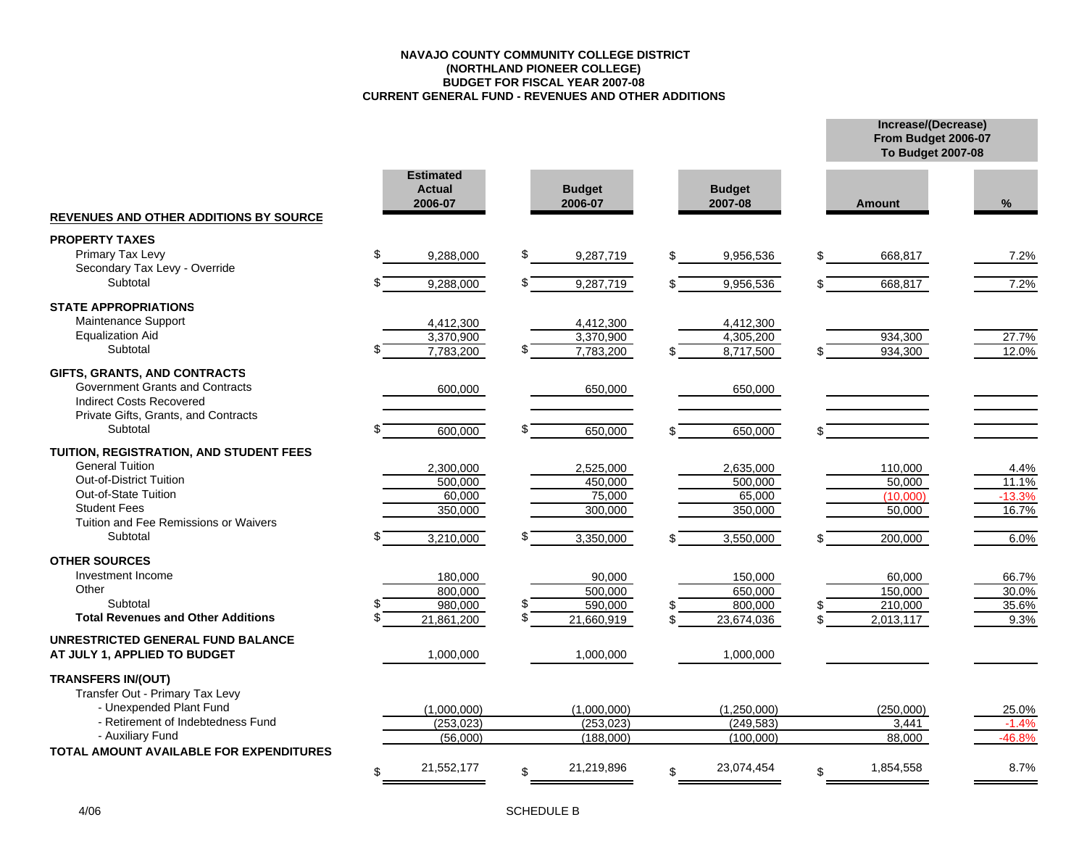#### **NAVAJO COUNTY COMMUNITY COLLEGE DISTRICT (NORTHLAND PIONEER COLLEGE) BUDGET FOR FISCAL YEAR 2007-08CURRENT GENERAL FUND - REVENUES AND OTHER ADDITIONS**

**Increase/(Decrease) From Budget 2006-07**

|                                                                                                                                                                                                         |                                                        |                                                         |                                                        | <b>To Budget 2007-08</b>                              |                                            |  |  |
|---------------------------------------------------------------------------------------------------------------------------------------------------------------------------------------------------------|--------------------------------------------------------|---------------------------------------------------------|--------------------------------------------------------|-------------------------------------------------------|--------------------------------------------|--|--|
|                                                                                                                                                                                                         | <b>Estimated</b><br><b>Actual</b><br>2006-07           | <b>Budget</b><br>2006-07                                | <b>Budget</b><br>2007-08                               | <b>Amount</b>                                         | $\%$                                       |  |  |
| <b>REVENUES AND OTHER ADDITIONS BY SOURCE</b>                                                                                                                                                           |                                                        |                                                         |                                                        |                                                       |                                            |  |  |
| <b>PROPERTY TAXES</b><br>Primary Tax Levy<br>Secondary Tax Levy - Override<br>Subtotal                                                                                                                  | \$<br>9,288,000                                        | \$<br>9,287,719<br>\$                                   | \$<br>9,956,536                                        | \$<br>668,817                                         | 7.2%                                       |  |  |
|                                                                                                                                                                                                         | 9,288,000                                              | 9,287,719                                               | 9,956,536                                              | 668,817<br>\$                                         | 7.2%                                       |  |  |
| <b>STATE APPROPRIATIONS</b><br>Maintenance Support<br><b>Equalization Aid</b><br>Subtotal                                                                                                               | 4,412,300<br>3,370,900<br>7,783,200                    | 4,412,300<br>3,370,900<br>7,783,200                     | 4,412,300<br>4,305,200<br>8,717,500                    | 934,300<br>934,300                                    | 27.7%<br>12.0%                             |  |  |
| GIFTS, GRANTS, AND CONTRACTS<br>Government Grants and Contracts<br><b>Indirect Costs Recovered</b><br>Private Gifts, Grants, and Contracts                                                              | 600,000                                                | 650,000                                                 | 650,000                                                |                                                       |                                            |  |  |
| Subtotal                                                                                                                                                                                                | 600,000                                                | 650,000                                                 | 650,000                                                |                                                       |                                            |  |  |
| TUITION, REGISTRATION, AND STUDENT FEES<br><b>General Tuition</b><br><b>Out-of-District Tuition</b><br>Out-of-State Tuition<br><b>Student Fees</b><br>Tuition and Fee Remissions or Waivers<br>Subtotal | 2,300,000<br>500.000<br>60,000<br>350,000<br>3,210,000 | 2,525,000<br>450.000<br>75,000<br>300,000<br>3,350,000  | 2,635,000<br>500.000<br>65,000<br>350,000<br>3,550,000 | 110,000<br>50.000<br>(10,000)<br>50,000<br>200,000    | 4.4%<br>11.1%<br>$-13.3%$<br>16.7%<br>6.0% |  |  |
| <b>OTHER SOURCES</b><br>Investment Income<br>Other<br>Subtotal<br><b>Total Revenues and Other Additions</b>                                                                                             | 180,000<br>800,000<br>980,000<br>21,861,200            | 90,000<br>500,000<br>\$<br>590,000<br>\$.<br>21,660,919 | 150,000<br>650,000<br>800,000<br>23,674,036            | 60,000<br>150,000<br>210,000<br>\$<br>2,013,117<br>\$ | 66.7%<br>30.0%<br>35.6%<br>9.3%            |  |  |
| UNRESTRICTED GENERAL FUND BALANCE<br>AT JULY 1, APPLIED TO BUDGET                                                                                                                                       | 1,000,000                                              | 1,000,000                                               | 1,000,000                                              |                                                       |                                            |  |  |
| <b>TRANSFERS IN/(OUT)</b><br>Transfer Out - Primary Tax Levy<br>- Unexpended Plant Fund<br>- Retirement of Indebtedness Fund<br>- Auxiliary Fund<br><b>TOTAL AMOUNT AVAILABLE FOR EXPENDITURES</b>      | (1,000,000)<br>(253, 023)<br>(56,000)                  | (1,000,000)<br>(253, 023)<br>(188,000)                  | (1,250,000)<br>(249, 583)<br>(100,000)                 | (250,000)<br>3,441<br>88,000                          | 25.0%<br>$-1.4%$<br>$-46.8%$               |  |  |
|                                                                                                                                                                                                         | 21,552,177<br>\$                                       | 21,219,896                                              | 23,074,454                                             | 1,854,558<br>\$                                       | 8.7%                                       |  |  |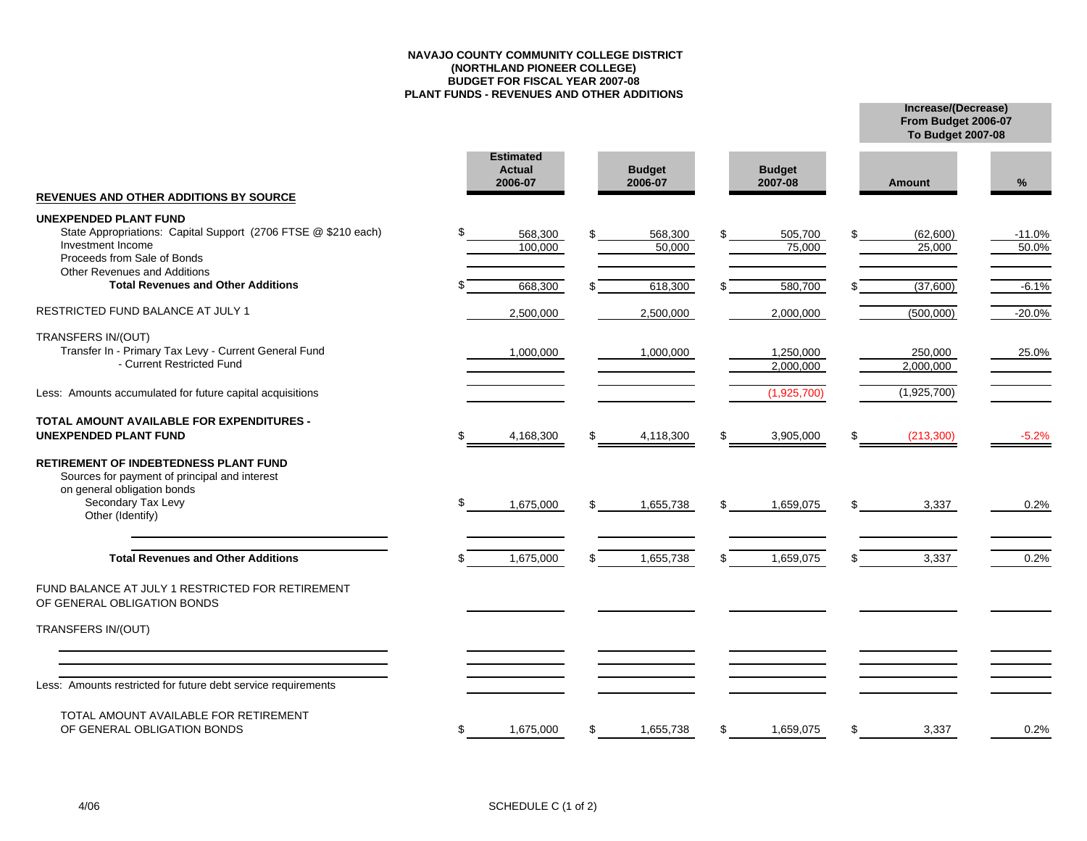## **NAVAJO COUNTY COMMUNITY COLLEGE DISTRICT(NORTHLAND PIONEER COLLEGE) BUDGET FOR FISCAL YEAR 2007-08 PLANT FUNDS - REVENUES AND OTHER ADDITIONS**

**Increase/(Decrease) To Budget 2007-08**

**From Budget 2006-07**

|                                                                                                                                                                        | <b>Estimated</b><br><b>Actual</b><br>2006-07 |                    | <b>Budget</b><br>2006-07 |     | <b>Budget</b><br>2007-08 |    | <b>Amount</b>        | $\%$              |
|------------------------------------------------------------------------------------------------------------------------------------------------------------------------|----------------------------------------------|--------------------|--------------------------|-----|--------------------------|----|----------------------|-------------------|
| <b>REVENUES AND OTHER ADDITIONS BY SOURCE</b>                                                                                                                          |                                              |                    |                          |     |                          |    |                      |                   |
| <b>UNEXPENDED PLANT FUND</b><br>State Appropriations: Capital Support (2706 FTSE @ \$210 each)<br>Investment Income<br>Proceeds from Sale of Bonds                     | \$                                           | 568,300<br>100,000 | 568,300<br>50,000        | \$  | 505,700<br>75,000        |    | (62,600)<br>25,000   | $-11.0%$<br>50.0% |
| <b>Other Revenues and Additions</b><br><b>Total Revenues and Other Additions</b>                                                                                       |                                              | 668,300            | 618,300                  |     | 580,700                  |    | (37,600)             | $-6.1%$           |
| RESTRICTED FUND BALANCE AT JULY 1                                                                                                                                      |                                              | 2,500,000          | 2,500,000                |     | 2,000,000                |    | (500,000)            | $-20.0%$          |
| TRANSFERS IN/(OUT)<br>Transfer In - Primary Tax Levy - Current General Fund<br>- Current Restricted Fund                                                               |                                              | 1,000,000          | 1,000,000                |     | 1,250,000<br>2,000,000   |    | 250,000<br>2,000,000 | 25.0%             |
| Less: Amounts accumulated for future capital acquisitions                                                                                                              |                                              |                    |                          |     | (1,925,700)              |    | (1,925,700)          |                   |
| <b>TOTAL AMOUNT AVAILABLE FOR EXPENDITURES -</b><br><b>UNEXPENDED PLANT FUND</b>                                                                                       | \$                                           | 4,168,300          | \$<br>4,118,300          | \$  | 3,905,000                | \$ | (213,300)            | $-5.2%$           |
| <b>RETIREMENT OF INDEBTEDNESS PLANT FUND</b><br>Sources for payment of principal and interest<br>on general obligation bonds<br>Secondary Tax Levy<br>Other (Identify) | \$                                           | 1,675,000          | 1,655,738                | \$  | 1,659,075                |    | 3,337                | 0.2%              |
| <b>Total Revenues and Other Additions</b>                                                                                                                              |                                              | 1,675,000          | 1,655,738                | \$. | 1,659,075                | \$ | 3,337                | 0.2%              |
| FUND BALANCE AT JULY 1 RESTRICTED FOR RETIREMENT<br>OF GENERAL OBLIGATION BONDS                                                                                        |                                              |                    |                          |     |                          |    |                      |                   |
| TRANSFERS IN/(OUT)                                                                                                                                                     |                                              |                    |                          |     |                          |    |                      |                   |
| Less: Amounts restricted for future debt service requirements                                                                                                          |                                              |                    |                          |     |                          |    |                      |                   |
| TOTAL AMOUNT AVAILABLE FOR RETIREMENT<br>OF GENERAL OBLIGATION BONDS                                                                                                   | \$                                           | 1,675,000          | \$<br>1,655,738          | \$  | 1,659,075                | \$ | 3,337                | 0.2%              |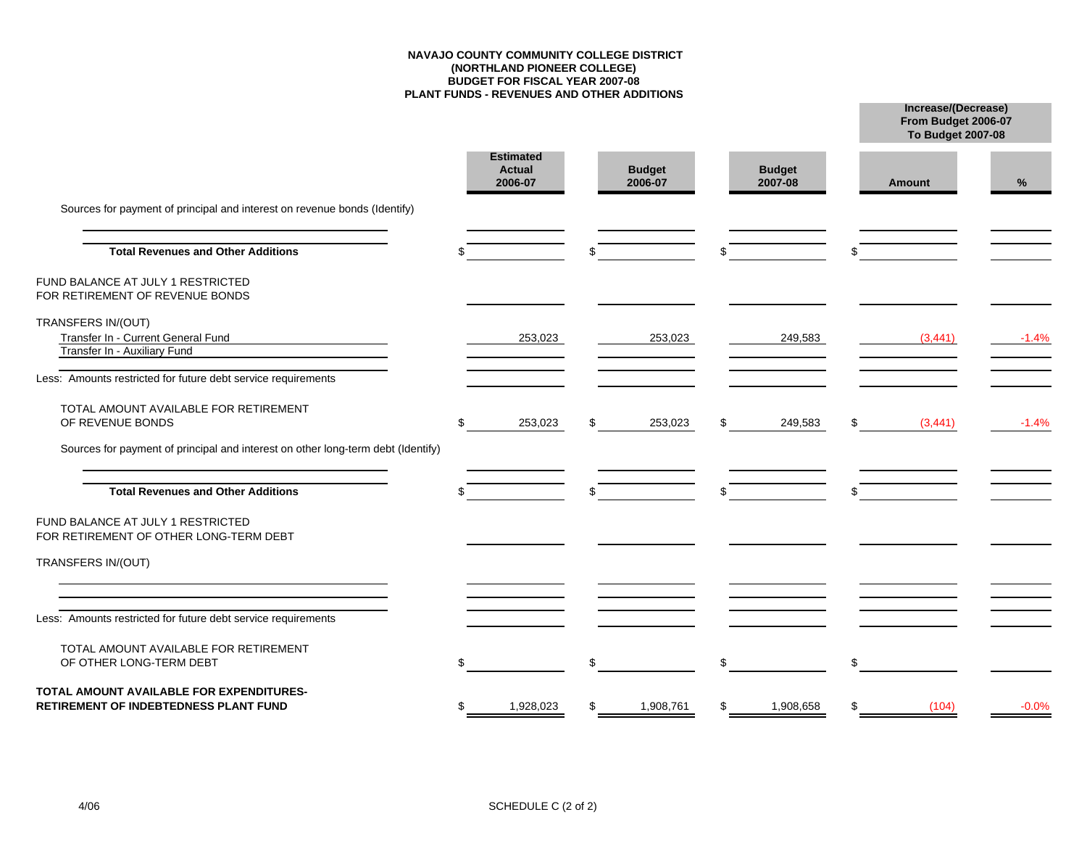## **NAVAJO COUNTY COMMUNITY COLLEGE DISTRICT(NORTHLAND PIONEER COLLEGE) BUDGET FOR FISCAL YEAR 2007-08 PLANT FUNDS - REVENUES AND OTHER ADDITIONS**

**Increase/(Decrease)**

**From Budget 2006-07**

|                                                                                   |    |                                       |                          |                          |           | <b>To Budget 2007-08</b> |         |
|-----------------------------------------------------------------------------------|----|---------------------------------------|--------------------------|--------------------------|-----------|--------------------------|---------|
|                                                                                   |    | <b>Estimated</b><br>Actual<br>2006-07 | <b>Budget</b><br>2006-07 | <b>Budget</b><br>2007-08 |           | <b>Amount</b>            | %       |
| Sources for payment of principal and interest on revenue bonds (Identify)         |    |                                       |                          |                          |           |                          |         |
| <b>Total Revenues and Other Additions</b>                                         |    |                                       | \$                       | \$                       |           |                          |         |
| FUND BALANCE AT JULY 1 RESTRICTED<br>FOR RETIREMENT OF REVENUE BONDS              |    |                                       |                          |                          |           |                          |         |
| TRANSFERS IN/(OUT)<br>Transfer In - Current General Fund                          |    | 253,023                               | 253,023                  |                          | 249,583   | (3, 441)                 | $-1.4%$ |
| Transfer In - Auxiliary Fund                                                      |    |                                       |                          |                          |           |                          |         |
| Less: Amounts restricted for future debt service requirements                     |    |                                       |                          |                          |           |                          |         |
| TOTAL AMOUNT AVAILABLE FOR RETIREMENT<br>OF REVENUE BONDS                         | \$ | 253,023                               | \$<br>253,023            | \$                       | 249,583   | \$<br>(3,441)            | $-1.4%$ |
| Sources for payment of principal and interest on other long-term debt (Identify)  |    |                                       |                          |                          |           |                          |         |
| <b>Total Revenues and Other Additions</b>                                         |    |                                       |                          | \$                       |           |                          |         |
| FUND BALANCE AT JULY 1 RESTRICTED<br>FOR RETIREMENT OF OTHER LONG-TERM DEBT       |    |                                       |                          |                          |           |                          |         |
| TRANSFERS IN/(OUT)                                                                |    |                                       |                          |                          |           |                          |         |
|                                                                                   |    |                                       |                          |                          |           |                          |         |
| Less: Amounts restricted for future debt service requirements                     |    |                                       |                          |                          |           |                          |         |
| TOTAL AMOUNT AVAILABLE FOR RETIREMENT<br>OF OTHER LONG-TERM DEBT                  |    |                                       | \$                       | \$                       |           | \$                       |         |
| TOTAL AMOUNT AVAILABLE FOR EXPENDITURES-<br>RETIREMENT OF INDEBTEDNESS PLANT FUND | ß. | 1,928,023                             | \$<br>1,908,761          | \$                       | 1,908,658 | \$<br>(104)              | $-0.0%$ |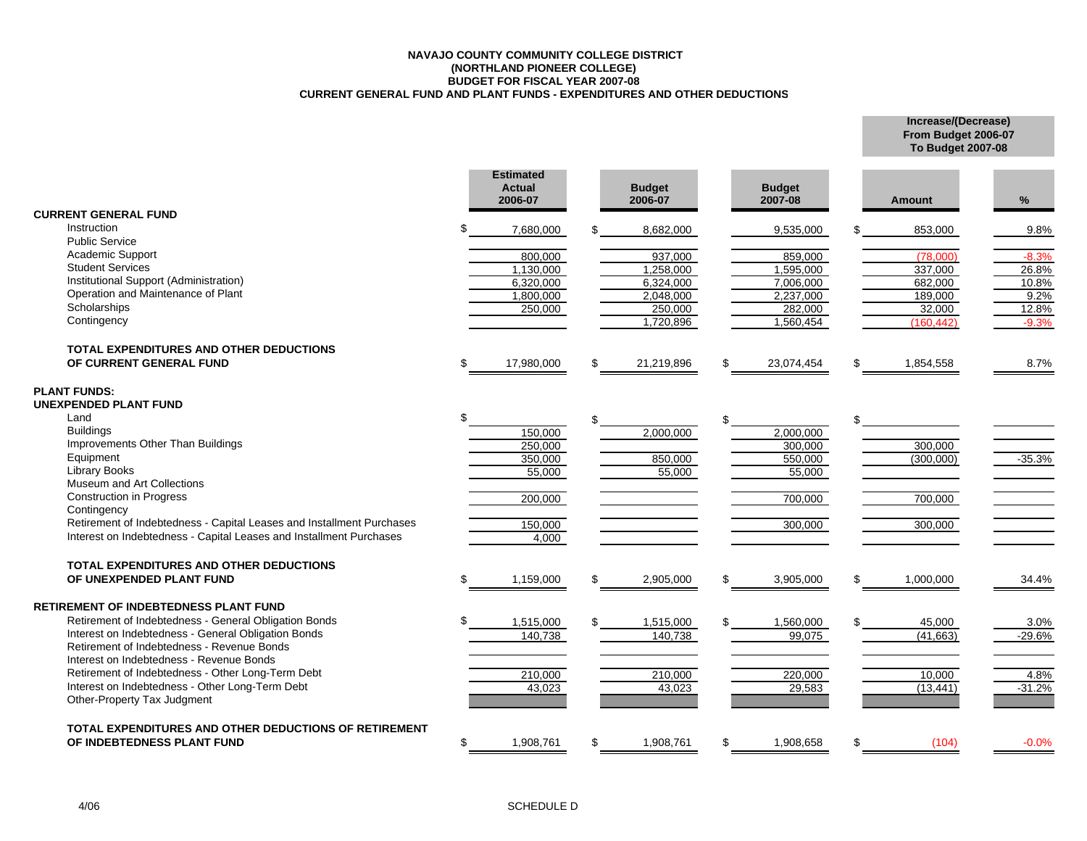## **NAVAJO COUNTY COMMUNITY COLLEGE DISTRICT(NORTHLAND PIONEER COLLEGE) BUDGET FOR FISCAL YEAR 2007-08 CURRENT GENERAL FUND AND PLANT FUNDS - EXPENDITURES AND OTHER DEDUCTIONS**

**Increase/(Decrease) From Budget 2006-07 To Budget 2007-08**

|                                                                       |     | <b>Estimated</b><br><b>Actual</b><br>2006-07 |     | <b>Budget</b><br>2006-07 |     | <b>Budget</b><br>2007-08 | <b>Amount</b>   | %        |
|-----------------------------------------------------------------------|-----|----------------------------------------------|-----|--------------------------|-----|--------------------------|-----------------|----------|
| <b>CURRENT GENERAL FUND</b>                                           |     |                                              |     |                          |     |                          |                 |          |
| Instruction<br><b>Public Service</b>                                  | \$  | 7,680,000                                    |     | 8,682,000                |     | 9,535,000                | 853,000         | 9.8%     |
| Academic Support                                                      |     | 800.000                                      |     | 937.000                  |     | 859.000                  | (78.000)        | $-8.3%$  |
| <b>Student Services</b>                                               |     | 1,130,000                                    |     | 1,258,000                |     | 1,595,000                | 337,000         | 26.8%    |
| Institutional Support (Administration)                                |     | 6.320.000                                    |     | 6,324,000                |     | 7.006.000                | 682,000         | 10.8%    |
| Operation and Maintenance of Plant                                    |     | 1,800,000                                    |     | 2,048,000                |     | 2,237,000                | 189,000         | 9.2%     |
| Scholarships                                                          |     | 250,000                                      |     | 250,000                  |     | 282,000                  | 32,000          | 12.8%    |
| Contingency                                                           |     |                                              |     | 1,720,896                |     | 1,560,454                | (160, 442)      | $-9.3%$  |
| <b>TOTAL EXPENDITURES AND OTHER DEDUCTIONS</b>                        |     |                                              |     |                          |     |                          |                 |          |
| OF CURRENT GENERAL FUND                                               | \$  | 17,980,000                                   | \$. | 21,219,896               | \$  | 23,074,454               | \$<br>1,854,558 | 8.7%     |
| <b>PLANT FUNDS:</b>                                                   |     |                                              |     |                          |     |                          |                 |          |
| UNEXPENDED PLANT FUND                                                 |     |                                              |     |                          |     |                          |                 |          |
| Land                                                                  | \$. |                                              | \$  |                          |     |                          | \$              |          |
| <b>Buildings</b>                                                      |     | 150,000                                      |     | 2,000,000                |     | 2.000.000                |                 |          |
| Improvements Other Than Buildings                                     |     | 250,000                                      |     |                          |     | 300,000                  | 300,000         |          |
| Equipment                                                             |     | 350,000                                      |     | 850,000                  |     | 550,000                  | (300,000)       | $-35.3%$ |
| <b>Library Books</b>                                                  |     | 55,000                                       |     | 55,000                   |     | 55,000                   |                 |          |
| Museum and Art Collections<br><b>Construction in Progress</b>         |     |                                              |     |                          |     |                          |                 |          |
| Contingency                                                           |     | 200,000                                      |     |                          |     | 700,000                  | 700,000         |          |
| Retirement of Indebtedness - Capital Leases and Installment Purchases |     | 150,000                                      |     |                          |     | 300,000                  | 300,000         |          |
| Interest on Indebtedness - Capital Leases and Installment Purchases   |     | 4,000                                        |     |                          |     |                          |                 |          |
| <b>TOTAL EXPENDITURES AND OTHER DEDUCTIONS</b>                        |     |                                              |     |                          |     |                          |                 |          |
| OF UNEXPENDED PLANT FUND                                              | \$  | 1,159,000                                    | \$  | 2,905,000                | \$  | 3,905,000                | \$<br>1,000,000 | 34.4%    |
| <b>RETIREMENT OF INDEBTEDNESS PLANT FUND</b>                          |     |                                              |     |                          |     |                          |                 |          |
| Retirement of Indebtedness - General Obligation Bonds                 |     | 1,515,000                                    |     | 1,515,000                |     | 1,560,000                | 45,000          | 3.0%     |
| Interest on Indebtedness - General Obligation Bonds                   |     | 140,738                                      |     | 140,738                  |     | 99,075                   | (41,663)        | $-29.6%$ |
| Retirement of Indebtedness - Revenue Bonds                            |     |                                              |     |                          |     |                          |                 |          |
| Interest on Indebtedness - Revenue Bonds                              |     |                                              |     |                          |     |                          |                 |          |
| Retirement of Indebtedness - Other Long-Term Debt                     |     | 210,000                                      |     | 210,000                  |     | 220,000                  | 10,000          | 4.8%     |
| Interest on Indebtedness - Other Long-Term Debt                       |     | 43,023                                       |     | 43,023                   |     | 29,583                   | (13, 441)       | $-31.2%$ |
| Other-Property Tax Judgment                                           |     |                                              |     |                          |     |                          |                 |          |
| TOTAL EXPENDITURES AND OTHER DEDUCTIONS OF RETIREMENT                 |     |                                              |     |                          |     |                          |                 |          |
| OF INDEBTEDNESS PLANT FUND                                            | \$  | 1,908,761                                    | \$. | 1,908,761                | \$. | 1.908.658                | \$<br>(104)     | $-0.0%$  |
|                                                                       |     |                                              |     |                          |     |                          |                 |          |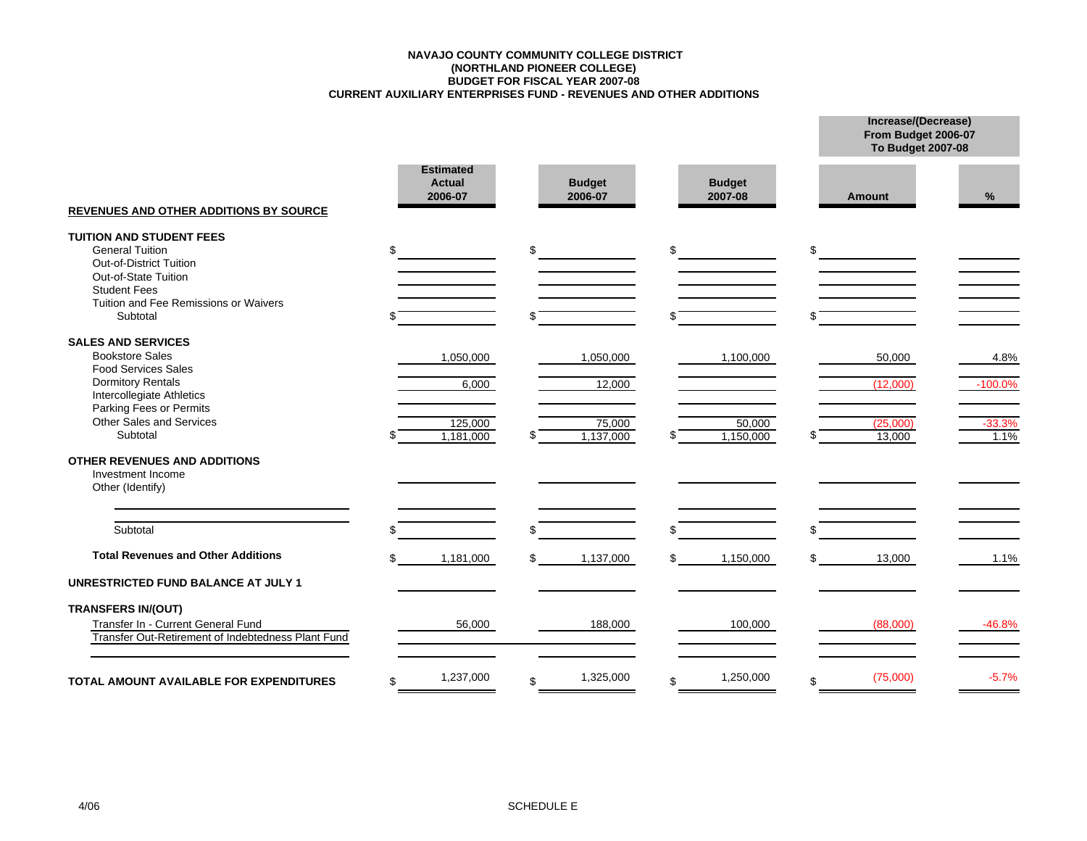## **CURRENT AUXILIARY ENTERPRISES FUND - REVENUES AND OTHER ADDITIONS BUDGET FOR FISCAL YEAR 2007-08 (NORTHLAND PIONEER COLLEGE) NAVAJO COUNTY COMMUNITY COLLEGE DISTRICT**

**Increase/(Decrease)**

|                                                                                                                                                                                                               |                                              |                                                 |                                  | From Budget 2006-07<br>To Budget 2007-08 |                                       |
|---------------------------------------------------------------------------------------------------------------------------------------------------------------------------------------------------------------|----------------------------------------------|-------------------------------------------------|----------------------------------|------------------------------------------|---------------------------------------|
| <b>REVENUES AND OTHER ADDITIONS BY SOURCE</b>                                                                                                                                                                 | <b>Estimated</b><br><b>Actual</b><br>2006-07 | <b>Budget</b><br>2006-07                        | <b>Budget</b><br>2007-08         | <b>Amount</b>                            | %                                     |
| <b>TUITION AND STUDENT FEES</b><br><b>General Tuition</b><br>Out-of-District Tuition<br>Out-of-State Tuition<br><b>Student Fees</b><br>Tuition and Fee Remissions or Waivers<br>Subtotal                      | \$                                           | \$                                              | \$                               | \$                                       |                                       |
| <b>SALES AND SERVICES</b><br><b>Bookstore Sales</b><br><b>Food Services Sales</b><br><b>Dormitory Rentals</b><br>Intercollegiate Athletics<br>Parking Fees or Permits<br>Other Sales and Services<br>Subtotal | 1,050,000<br>6,000<br>125,000<br>1,181,000   | 1,050,000<br>12,000<br>75,000<br>1,137,000<br>S | 1,100,000<br>50,000<br>1,150,000 | 50,000<br>(12,000)<br>(25,000)<br>13,000 | 4.8%<br>$-100.0%$<br>$-33.3%$<br>1.1% |
| OTHER REVENUES AND ADDITIONS<br>Investment Income<br>Other (Identify)                                                                                                                                         |                                              |                                                 |                                  |                                          |                                       |
| Subtotal                                                                                                                                                                                                      |                                              | ደ                                               |                                  | ደ                                        |                                       |
| <b>Total Revenues and Other Additions</b><br><b>UNRESTRICTED FUND BALANCE AT JULY 1</b>                                                                                                                       | \$<br>1,181,000                              | 1,137,000<br>\$                                 | 1,150,000<br>\$                  | 13,000<br>\$                             | 1.1%                                  |
| <b>TRANSFERS IN/(OUT)</b><br>Transfer In - Current General Fund<br>Transfer Out-Retirement of Indebtedness Plant Fund                                                                                         | 56,000                                       | 188,000                                         | 100,000                          | (88,000)                                 | $-46.8%$                              |
| <b>TOTAL AMOUNT AVAILABLE FOR EXPENDITURES</b>                                                                                                                                                                | 1,237,000<br>\$                              | 1,325,000<br>\$                                 | 1,250,000<br>\$.                 | (75,000)<br>\$                           | $-5.7%$                               |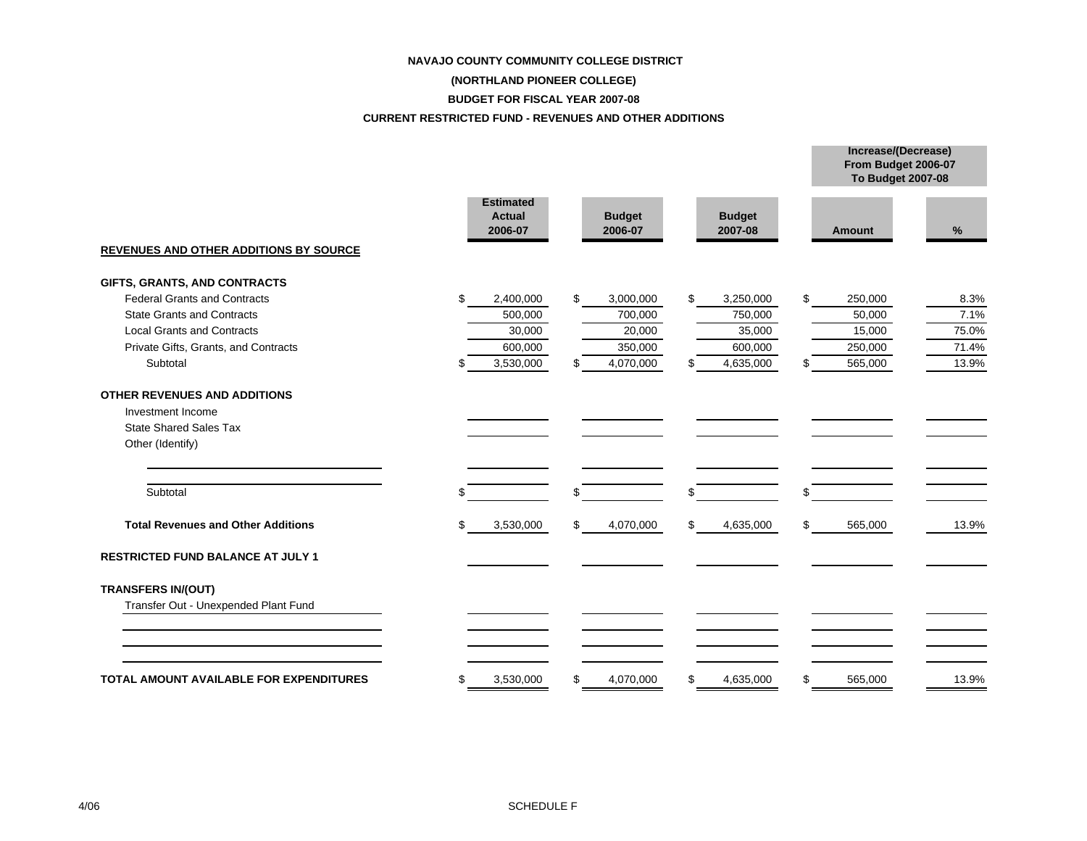#### **NAVAJO COUNTY COMMUNITY COLLEGE DISTRICT**

# **(NORTHLAND PIONEER COLLEGE)**

## **BUDGET FOR FISCAL YEAR 2007-08**

## **CURRENT RESTRICTED FUND - REVENUES AND OTHER ADDITIONS**

|    |                          |                               |                          |           |                          |           | Increase/(Decrease)<br>From Budget 2006-07<br><b>To Budget 2007-08</b> |         |
|----|--------------------------|-------------------------------|--------------------------|-----------|--------------------------|-----------|------------------------------------------------------------------------|---------|
|    | <b>Actual</b><br>2006-07 |                               | <b>Budget</b><br>2006-07 |           | <b>Budget</b><br>2007-08 |           | <b>Amount</b>                                                          | %       |
|    |                          |                               |                          |           |                          |           |                                                                        |         |
| \$ | 2,400,000                | \$                            | 3,000,000                | \$        | 3,250,000                | \$        | 250,000                                                                | 8.3%    |
|    | 500,000                  |                               | 700,000                  |           | 750,000                  |           | 50,000                                                                 | 7.1%    |
|    | 30,000                   |                               | 20,000                   |           | 35,000                   |           | 15,000                                                                 | 75.0%   |
|    | 600,000                  |                               | 350,000                  |           | 600,000                  |           | 250,000                                                                | 71.4%   |
| S  | 3,530,000                | \$                            | 4,070,000                | \$        | 4,635,000                | \$        | 565,000                                                                | 13.9%   |
|    |                          |                               |                          |           |                          |           |                                                                        |         |
| \$ |                          | \$                            |                          | \$        |                          | \$        |                                                                        |         |
| \$ | 3,530,000                | \$                            | 4,070,000                | \$        | 4,635,000                | \$        | 565,000                                                                | 13.9%   |
|    |                          |                               |                          |           |                          |           |                                                                        |         |
|    |                          |                               |                          |           |                          |           |                                                                        |         |
|    |                          |                               |                          |           |                          |           |                                                                        |         |
|    |                          |                               |                          |           |                          |           |                                                                        | 13.9%   |
|    | \$                       | <b>Estimated</b><br>3,530,000 | \$                       | 4,070,000 | \$                       | 4,635,000 | \$                                                                     | 565,000 |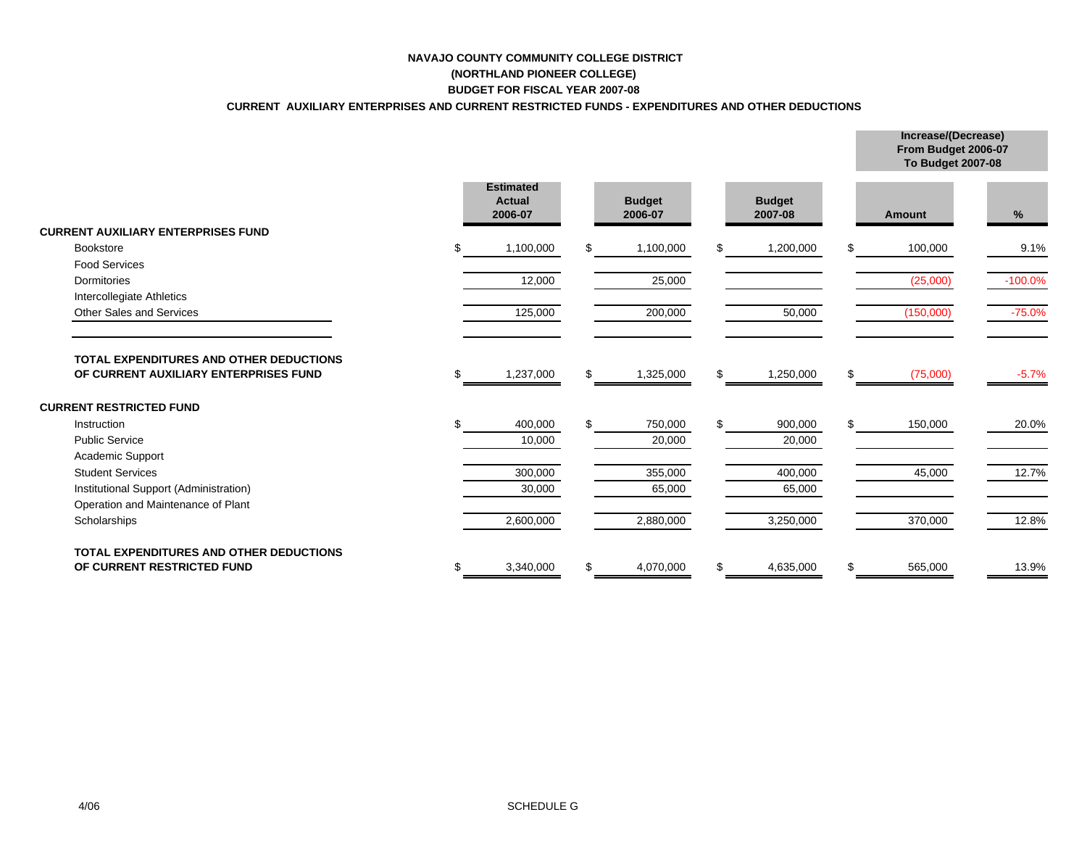## **NAVAJO COUNTY COMMUNITY COLLEGE DISTRICT(NORTHLAND PIONEER COLLEGE)**

# **BUDGET FOR FISCAL YEAR 2007-08**

## **CURRENT AUXILIARY ENTERPRISES AND CURRENT RESTRICTED FUNDS - EXPENDITURES AND OTHER DEDUCTIONS**

**Increase/(Decrease)**

|                                                                                  |    |                                              |     |                          |     |                          |     | From Budget 2006-07<br><b>To Budget 2007-08</b> |           |
|----------------------------------------------------------------------------------|----|----------------------------------------------|-----|--------------------------|-----|--------------------------|-----|-------------------------------------------------|-----------|
|                                                                                  |    | <b>Estimated</b><br><b>Actual</b><br>2006-07 |     | <b>Budget</b><br>2006-07 |     | <b>Budget</b><br>2007-08 |     | Amount                                          | $\%$      |
| <b>CURRENT AUXILIARY ENTERPRISES FUND</b>                                        |    |                                              |     |                          |     |                          |     |                                                 |           |
| <b>Bookstore</b>                                                                 |    | 1,100,000                                    |     | 1,100,000                | \$. | 1,200,000                | \$. | 100,000                                         | 9.1%      |
| <b>Food Services</b>                                                             |    |                                              |     |                          |     |                          |     |                                                 |           |
| Dormitories                                                                      |    | 12,000                                       |     | 25,000                   |     |                          |     | (25,000)                                        | $-100.0%$ |
| Intercollegiate Athletics                                                        |    |                                              |     |                          |     |                          |     |                                                 |           |
| Other Sales and Services                                                         |    | 125,000                                      |     | 200,000                  |     | 50,000                   |     | (150,000)                                       | $-75.0%$  |
| TOTAL EXPENDITURES AND OTHER DEDUCTIONS<br>OF CURRENT AUXILIARY ENTERPRISES FUND | S  | 1,237,000                                    | \$. | 1,325,000                | \$  | 1,250,000                | \$  | (75,000)                                        | $-5.7%$   |
| <b>CURRENT RESTRICTED FUND</b>                                                   |    |                                              |     |                          |     |                          |     |                                                 |           |
| Instruction                                                                      | \$ | 400,000                                      |     | 750,000                  | \$. | 900,000                  | \$  | 150,000                                         | 20.0%     |
| <b>Public Service</b>                                                            |    | 10,000                                       |     | 20,000                   |     | 20,000                   |     |                                                 |           |
| <b>Academic Support</b>                                                          |    |                                              |     |                          |     |                          |     |                                                 |           |
| <b>Student Services</b>                                                          |    | 300,000                                      |     | 355,000                  |     | 400,000                  |     | 45,000                                          | 12.7%     |
| Institutional Support (Administration)                                           |    | 30,000                                       |     | 65,000                   |     | 65,000                   |     |                                                 |           |
| Operation and Maintenance of Plant                                               |    |                                              |     |                          |     |                          |     |                                                 |           |
| Scholarships                                                                     |    | 2,600,000                                    |     | 2,880,000                |     | 3,250,000                |     | 370,000                                         | 12.8%     |
| <b>TOTAL EXPENDITURES AND OTHER DEDUCTIONS</b>                                   |    |                                              |     |                          |     |                          |     |                                                 |           |
| OF CURRENT RESTRICTED FUND                                                       | \$ | 3,340,000                                    |     | 4,070,000                | \$  | 4,635,000                | \$  | 565,000                                         | 13.9%     |